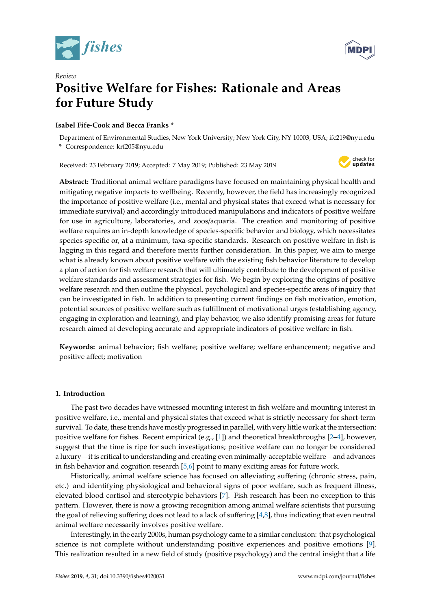



# *Review* **Positive Welfare for Fishes: Rationale and Areas for Future Study**

# **Isabel Fife-Cook and Becca Franks \***

Department of Environmental Studies, New York University; New York City, NY 10003, USA; ifc219@nyu.edu **\*** Correspondence: krf205@nyu.edu

Received: 23 February 2019; Accepted: 7 May 2019; Published: 23 May 2019



**Abstract:** Traditional animal welfare paradigms have focused on maintaining physical health and mitigating negative impacts to wellbeing. Recently, however, the field has increasingly recognized the importance of positive welfare (i.e., mental and physical states that exceed what is necessary for immediate survival) and accordingly introduced manipulations and indicators of positive welfare for use in agriculture, laboratories, and zoos/aquaria. The creation and monitoring of positive welfare requires an in-depth knowledge of species-specific behavior and biology, which necessitates species-specific or, at a minimum, taxa-specific standards. Research on positive welfare in fish is lagging in this regard and therefore merits further consideration. In this paper, we aim to merge what is already known about positive welfare with the existing fish behavior literature to develop a plan of action for fish welfare research that will ultimately contribute to the development of positive welfare standards and assessment strategies for fish. We begin by exploring the origins of positive welfare research and then outline the physical, psychological and species-specific areas of inquiry that can be investigated in fish. In addition to presenting current findings on fish motivation, emotion, potential sources of positive welfare such as fulfillment of motivational urges (establishing agency, engaging in exploration and learning), and play behavior, we also identify promising areas for future research aimed at developing accurate and appropriate indicators of positive welfare in fish.

**Keywords:** animal behavior; fish welfare; positive welfare; welfare enhancement; negative and positive affect; motivation

# **1. Introduction**

The past two decades have witnessed mounting interest in fish welfare and mounting interest in positive welfare, i.e., mental and physical states that exceed what is strictly necessary for short-term survival. To date, these trends have mostly progressed in parallel, with very little work at the intersection: positive welfare for fishes. Recent empirical (e.g., [\[1\]](#page-10-0)) and theoretical breakthroughs [\[2–](#page-10-1)[4\]](#page-10-2), however, suggest that the time is ripe for such investigations; positive welfare can no longer be considered a luxury—it is critical to understanding and creating even minimally-acceptable welfare—and advances in fish behavior and cognition research [\[5](#page-10-3)[,6\]](#page-11-0) point to many exciting areas for future work.

Historically, animal welfare science has focused on alleviating suffering (chronic stress, pain, etc.) and identifying physiological and behavioral signs of poor welfare, such as frequent illness, elevated blood cortisol and stereotypic behaviors [\[7\]](#page-11-1). Fish research has been no exception to this pattern. However, there is now a growing recognition among animal welfare scientists that pursuing the goal of relieving suffering does not lead to a lack of suffering [\[4](#page-10-2)[,8\]](#page-11-2), thus indicating that even neutral animal welfare necessarily involves positive welfare.

Interestingly, in the early 2000s, human psychology came to a similar conclusion: that psychological science is not complete without understanding positive experiences and positive emotions [\[9\]](#page-11-3). This realization resulted in a new field of study (positive psychology) and the central insight that a life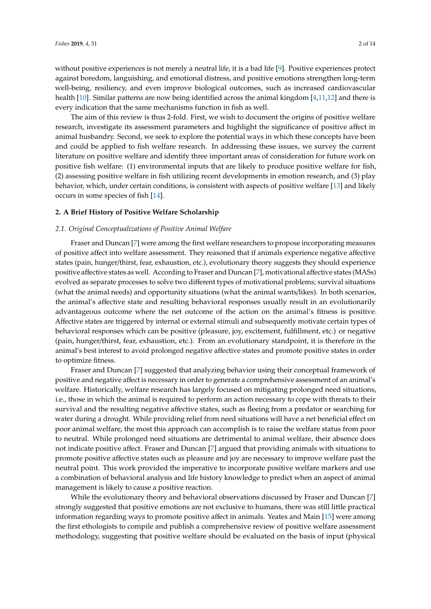without positive experiences is not merely a neutral life, it is a bad life [\[9\]](#page-11-3). Positive experiences protect against boredom, languishing, and emotional distress, and positive emotions strengthen long-term well-being, resiliency, and even improve biological outcomes, such as increased cardiovascular health [\[10\]](#page-11-4). Similar patterns are now being identified across the animal kingdom [\[4](#page-10-2)[,11](#page-11-5)[,12\]](#page-11-6) and there is every indication that the same mechanisms function in fish as well.

The aim of this review is thus 2-fold. First, we wish to document the origins of positive welfare research, investigate its assessment parameters and highlight the significance of positive affect in animal husbandry. Second, we seek to explore the potential ways in which these concepts have been and could be applied to fish welfare research. In addressing these issues, we survey the current literature on positive welfare and identify three important areas of consideration for future work on positive fish welfare: (1) environmental inputs that are likely to produce positive welfare for fish, (2) assessing positive welfare in fish utilizing recent developments in emotion research, and (3) play behavior, which, under certain conditions, is consistent with aspects of positive welfare [\[13\]](#page-11-7) and likely occurs in some species of fish [\[14\]](#page-11-8).

# **2. A Brief History of Positive Welfare Scholarship**

## *2.1. Original Conceptualizations of Positive Animal Welfare*

Fraser and Duncan [\[7\]](#page-11-1) were among the first welfare researchers to propose incorporating measures of positive affect into welfare assessment. They reasoned that if animals experience negative affective states (pain, hunger/thirst, fear, exhaustion, etc.), evolutionary theory suggests they should experience positive affective states as well. According to Fraser and Duncan [\[7\]](#page-11-1), motivational affective states (MASs) evolved as separate processes to solve two different types of motivational problems; survival situations (what the animal needs) and opportunity situations (what the animal wants/likes). In both scenarios, the animal's affective state and resulting behavioral responses usually result in an evolutionarily advantageous outcome where the net outcome of the action on the animal's fitness is positive. Affective states are triggered by internal or external stimuli and subsequently motivate certain types of behavioral responses which can be positive (pleasure, joy, excitement, fulfillment, etc.) or negative (pain, hunger/thirst, fear, exhaustion, etc.). From an evolutionary standpoint, it is therefore in the animal's best interest to avoid prolonged negative affective states and promote positive states in order to optimize fitness.

Fraser and Duncan [\[7\]](#page-11-1) suggested that analyzing behavior using their conceptual framework of positive and negative affect is necessary in order to generate a comprehensive assessment of an animal's welfare. Historically, welfare research has largely focused on mitigating prolonged need situations, i.e., those in which the animal is required to perform an action necessary to cope with threats to their survival and the resulting negative affective states, such as fleeing from a predator or searching for water during a drought. While providing relief from need situations will have a net beneficial effect on poor animal welfare, the most this approach can accomplish is to raise the welfare status from poor to neutral. While prolonged need situations are detrimental to animal welfare, their absence does not indicate positive affect. Fraser and Duncan [\[7\]](#page-11-1) argued that providing animals with situations to promote positive affective states such as pleasure and joy are necessary to improve welfare past the neutral point. This work provided the imperative to incorporate positive welfare markers and use a combination of behavioral analysis and life history knowledge to predict when an aspect of animal management is likely to cause a positive reaction.

While the evolutionary theory and behavioral observations discussed by Fraser and Duncan [\[7\]](#page-11-1) strongly suggested that positive emotions are not exclusive to humans, there was still little practical information regarding ways to promote positive affect in animals. Yeates and Main [\[15\]](#page-11-9) were among the first ethologists to compile and publish a comprehensive review of positive welfare assessment methodology, suggesting that positive welfare should be evaluated on the basis of input (physical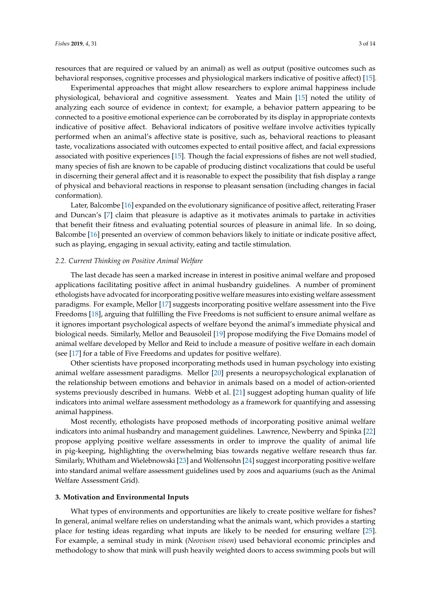resources that are required or valued by an animal) as well as output (positive outcomes such as behavioral responses, cognitive processes and physiological markers indicative of positive affect) [\[15\]](#page-11-9).

Experimental approaches that might allow researchers to explore animal happiness include physiological, behavioral and cognitive assessment. Yeates and Main [\[15\]](#page-11-9) noted the utility of analyzing each source of evidence in context; for example, a behavior pattern appearing to be connected to a positive emotional experience can be corroborated by its display in appropriate contexts indicative of positive affect. Behavioral indicators of positive welfare involve activities typically performed when an animal's affective state is positive, such as, behavioral reactions to pleasant taste, vocalizations associated with outcomes expected to entail positive affect, and facial expressions associated with positive experiences [\[15\]](#page-11-9). Though the facial expressions of fishes are not well studied, many species of fish are known to be capable of producing distinct vocalizations that could be useful in discerning their general affect and it is reasonable to expect the possibility that fish display a range of physical and behavioral reactions in response to pleasant sensation (including changes in facial conformation).

Later, Balcombe [\[16\]](#page-11-10) expanded on the evolutionary significance of positive affect, reiterating Fraser and Duncan's [\[7\]](#page-11-1) claim that pleasure is adaptive as it motivates animals to partake in activities that benefit their fitness and evaluating potential sources of pleasure in animal life. In so doing, Balcombe [\[16\]](#page-11-10) presented an overview of common behaviors likely to initiate or indicate positive affect, such as playing, engaging in sexual activity, eating and tactile stimulation.

#### *2.2. Current Thinking on Positive Animal Welfare*

The last decade has seen a marked increase in interest in positive animal welfare and proposed applications facilitating positive affect in animal husbandry guidelines. A number of prominent ethologists have advocated for incorporating positive welfare measures into existing welfare assessment paradigms. For example, Mellor [\[17\]](#page-11-11) suggests incorporating positive welfare assessment into the Five Freedoms [\[18\]](#page-11-12), arguing that fulfilling the Five Freedoms is not sufficient to ensure animal welfare as it ignores important psychological aspects of welfare beyond the animal's immediate physical and biological needs. Similarly, Mellor and Beausoleil [\[19\]](#page-11-13) propose modifying the Five Domains model of animal welfare developed by Mellor and Reid to include a measure of positive welfare in each domain (see [\[17\]](#page-11-11) for a table of Five Freedoms and updates for positive welfare).

Other scientists have proposed incorporating methods used in human psychology into existing animal welfare assessment paradigms. Mellor [\[20\]](#page-11-14) presents a neuropsychological explanation of the relationship between emotions and behavior in animals based on a model of action-oriented systems previously described in humans. Webb et al. [\[21\]](#page-11-15) suggest adopting human quality of life indicators into animal welfare assessment methodology as a framework for quantifying and assessing animal happiness.

Most recently, ethologists have proposed methods of incorporating positive animal welfare indicators into animal husbandry and management guidelines. Lawrence, Newberry and Spinka [\[22\]](#page-11-16) propose applying positive welfare assessments in order to improve the quality of animal life in pig-keeping, highlighting the overwhelming bias towards negative welfare research thus far. Similarly, Whitham and Wielebnowski [\[23\]](#page-11-17) and Wolfensohn [\[24\]](#page-11-18) suggest incorporating positive welfare into standard animal welfare assessment guidelines used by zoos and aquariums (such as the Animal Welfare Assessment Grid).

# **3. Motivation and Environmental Inputs**

What types of environments and opportunities are likely to create positive welfare for fishes? In general, animal welfare relies on understanding what the animals want, which provides a starting place for testing ideas regarding what inputs are likely to be needed for ensuring welfare [\[25\]](#page-11-19). For example, a seminal study in mink (*Neovison vison*) used behavioral economic principles and methodology to show that mink will push heavily weighted doors to access swimming pools but will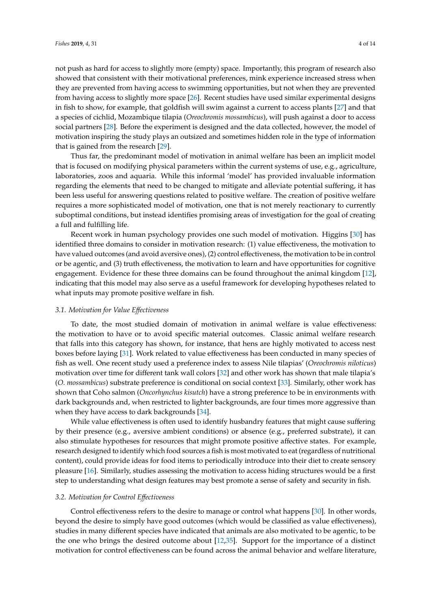not push as hard for access to slightly more (empty) space. Importantly, this program of research also showed that consistent with their motivational preferences, mink experience increased stress when they are prevented from having access to swimming opportunities, but not when they are prevented from having access to slightly more space [\[26\]](#page-11-20). Recent studies have used similar experimental designs in fish to show, for example, that goldfish will swim against a current to access plants [\[27\]](#page-11-21) and that a species of cichlid, Mozambique tilapia (*Oreochromis mossambicus*), will push against a door to access social partners [\[28\]](#page-11-22). Before the experiment is designed and the data collected, however, the model of motivation inspiring the study plays an outsized and sometimes hidden role in the type of information that is gained from the research [\[29\]](#page-11-23).

Thus far, the predominant model of motivation in animal welfare has been an implicit model that is focused on modifying physical parameters within the current systems of use, e.g., agriculture, laboratories, zoos and aquaria. While this informal 'model' has provided invaluable information regarding the elements that need to be changed to mitigate and alleviate potential suffering, it has been less useful for answering questions related to positive welfare. The creation of positive welfare requires a more sophisticated model of motivation, one that is not merely reactionary to currently suboptimal conditions, but instead identifies promising areas of investigation for the goal of creating a full and fulfilling life.

Recent work in human psychology provides one such model of motivation. Higgins [\[30\]](#page-11-24) has identified three domains to consider in motivation research: (1) value effectiveness, the motivation to have valued outcomes (and avoid aversive ones), (2) control effectiveness, the motivation to be in control or be agentic, and (3) truth effectiveness, the motivation to learn and have opportunities for cognitive engagement. Evidence for these three domains can be found throughout the animal kingdom [\[12\]](#page-11-6), indicating that this model may also serve as a useful framework for developing hypotheses related to what inputs may promote positive welfare in fish.

#### *3.1. Motivation for Value E*ff*ectiveness*

To date, the most studied domain of motivation in animal welfare is value effectiveness: the motivation to have or to avoid specific material outcomes. Classic animal welfare research that falls into this category has shown, for instance, that hens are highly motivated to access nest boxes before laying [\[31\]](#page-11-25). Work related to value effectiveness has been conducted in many species of fish as well. One recent study used a preference index to assess Nile tilapias' (*Oreochromis niloticus*) motivation over time for different tank wall colors [\[32\]](#page-11-26) and other work has shown that male tilapia's (*O. mossambicus*) substrate preference is conditional on social context [\[33\]](#page-11-27). Similarly, other work has shown that Coho salmon (*Oncorhynchus kisutch*) have a strong preference to be in environments with dark backgrounds and, when restricted to lighter backgrounds, are four times more aggressive than when they have access to dark backgrounds [\[34\]](#page-12-0).

While value effectiveness is often used to identify husbandry features that might cause suffering by their presence (e.g., aversive ambient conditions) or absence (e.g., preferred substrate), it can also stimulate hypotheses for resources that might promote positive affective states. For example, research designed to identify which food sources a fish is most motivated to eat (regardless of nutritional content), could provide ideas for food items to periodically introduce into their diet to create sensory pleasure [\[16\]](#page-11-10). Similarly, studies assessing the motivation to access hiding structures would be a first step to understanding what design features may best promote a sense of safety and security in fish.

# *3.2. Motivation for Control E*ff*ectiveness*

Control effectiveness refers to the desire to manage or control what happens [\[30\]](#page-11-24). In other words, beyond the desire to simply have good outcomes (which would be classified as value effectiveness), studies in many different species have indicated that animals are also motivated to be agentic, to be the one who brings the desired outcome about [\[12](#page-11-6)[,35\]](#page-12-1). Support for the importance of a distinct motivation for control effectiveness can be found across the animal behavior and welfare literature,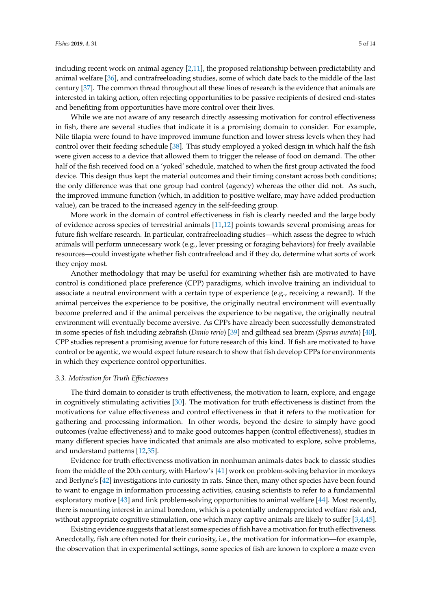including recent work on animal agency [\[2,](#page-10-1)[11\]](#page-11-5), the proposed relationship between predictability and animal welfare [\[36\]](#page-12-2), and contrafreeloading studies, some of which date back to the middle of the last century [\[37\]](#page-12-3). The common thread throughout all these lines of research is the evidence that animals are interested in taking action, often rejecting opportunities to be passive recipients of desired end-states and benefiting from opportunities have more control over their lives.

While we are not aware of any research directly assessing motivation for control effectiveness in fish, there are several studies that indicate it is a promising domain to consider. For example, Nile tilapia were found to have improved immune function and lower stress levels when they had control over their feeding schedule [\[38\]](#page-12-4). This study employed a yoked design in which half the fish were given access to a device that allowed them to trigger the release of food on demand. The other half of the fish received food on a 'yoked' schedule, matched to when the first group activated the food device. This design thus kept the material outcomes and their timing constant across both conditions; the only difference was that one group had control (agency) whereas the other did not. As such, the improved immune function (which, in addition to positive welfare, may have added production value), can be traced to the increased agency in the self-feeding group.

More work in the domain of control effectiveness in fish is clearly needed and the large body of evidence across species of terrestrial animals [\[11](#page-11-5)[,12\]](#page-11-6) points towards several promising areas for future fish welfare research. In particular, contrafreeloading studies—which assess the degree to which animals will perform unnecessary work (e.g., lever pressing or foraging behaviors) for freely available resources—could investigate whether fish contrafreeload and if they do, determine what sorts of work they enjoy most.

Another methodology that may be useful for examining whether fish are motivated to have control is conditioned place preference (CPP) paradigms, which involve training an individual to associate a neutral environment with a certain type of experience (e.g., receiving a reward). If the animal perceives the experience to be positive, the originally neutral environment will eventually become preferred and if the animal perceives the experience to be negative, the originally neutral environment will eventually become aversive. As CPPs have already been successfully demonstrated in some species of fish including zebrafish (*Danio rerio*) [\[39\]](#page-12-5) and gilthead sea bream (*Sparus aurata*) [\[40\]](#page-12-6), CPP studies represent a promising avenue for future research of this kind. If fish are motivated to have control or be agentic, we would expect future research to show that fish develop CPPs for environments in which they experience control opportunities.

#### *3.3. Motivation for Truth E*ff*ectiveness*

The third domain to consider is truth effectiveness, the motivation to learn, explore, and engage in cognitively stimulating activities [\[30\]](#page-11-24). The motivation for truth effectiveness is distinct from the motivations for value effectiveness and control effectiveness in that it refers to the motivation for gathering and processing information. In other words, beyond the desire to simply have good outcomes (value effectiveness) and to make good outcomes happen (control effectiveness), studies in many different species have indicated that animals are also motivated to explore, solve problems, and understand patterns [\[12](#page-11-6)[,35\]](#page-12-1).

Evidence for truth effectiveness motivation in nonhuman animals dates back to classic studies from the middle of the 20th century, with Harlow's [\[41\]](#page-12-7) work on problem-solving behavior in monkeys and Berlyne's [\[42\]](#page-12-8) investigations into curiosity in rats. Since then, many other species have been found to want to engage in information processing activities, causing scientists to refer to a fundamental exploratory motive [\[43\]](#page-12-9) and link problem-solving opportunities to animal welfare [\[44\]](#page-12-10). Most recently, there is mounting interest in animal boredom, which is a potentially underappreciated welfare risk and, without appropriate cognitive stimulation, one which many captive animals are likely to suffer [\[3](#page-10-4)[,4](#page-10-2)[,45\]](#page-12-11).

Existing evidence suggests that at least some species of fish have a motivation for truth effectiveness. Anecdotally, fish are often noted for their curiosity, i.e., the motivation for information—for example, the observation that in experimental settings, some species of fish are known to explore a maze even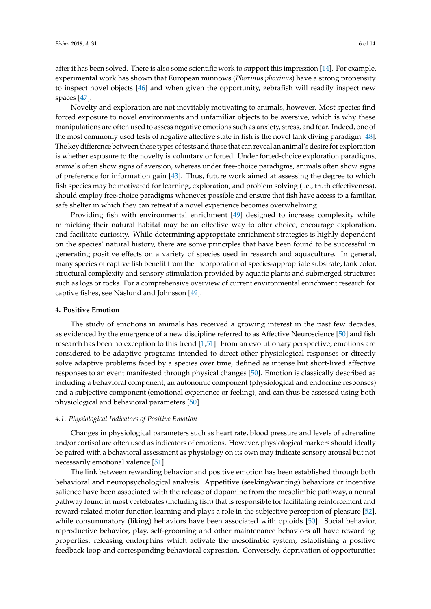after it has been solved. There is also some scientific work to support this impression [\[14\]](#page-11-8). For example, experimental work has shown that European minnows (*Phoxinus phoxinus*) have a strong propensity to inspect novel objects [\[46\]](#page-12-12) and when given the opportunity, zebrafish will readily inspect new spaces [\[47\]](#page-12-13).

Novelty and exploration are not inevitably motivating to animals, however. Most species find forced exposure to novel environments and unfamiliar objects to be aversive, which is why these manipulations are often used to assess negative emotions such as anxiety, stress, and fear. Indeed, one of the most commonly used tests of negative affective state in fish is the novel tank diving paradigm [\[48\]](#page-12-14). The key difference between these types of tests and those that can reveal an animal's desire for exploration is whether exposure to the novelty is voluntary or forced. Under forced-choice exploration paradigms, animals often show signs of aversion, whereas under free-choice paradigms, animals often show signs of preference for information gain [\[43\]](#page-12-9). Thus, future work aimed at assessing the degree to which fish species may be motivated for learning, exploration, and problem solving (i.e., truth effectiveness), should employ free-choice paradigms whenever possible and ensure that fish have access to a familiar, safe shelter in which they can retreat if a novel experience becomes overwhelming.

Providing fish with environmental enrichment [\[49\]](#page-12-15) designed to increase complexity while mimicking their natural habitat may be an effective way to offer choice, encourage exploration, and facilitate curiosity. While determining appropriate enrichment strategies is highly dependent on the species' natural history, there are some principles that have been found to be successful in generating positive effects on a variety of species used in research and aquaculture. In general, many species of captive fish benefit from the incorporation of species-appropriate substrate, tank color, structural complexity and sensory stimulation provided by aquatic plants and submerged structures such as logs or rocks. For a comprehensive overview of current environmental enrichment research for captive fishes, see Näslund and Johnsson [\[49\]](#page-12-15).

#### **4. Positive Emotion**

The study of emotions in animals has received a growing interest in the past few decades, as evidenced by the emergence of a new discipline referred to as Affective Neuroscience [\[50\]](#page-12-16) and fish research has been no exception to this trend [\[1,](#page-10-0)[51\]](#page-12-17). From an evolutionary perspective, emotions are considered to be adaptive programs intended to direct other physiological responses or directly solve adaptive problems faced by a species over time, defined as intense but short-lived affective responses to an event manifested through physical changes [\[50\]](#page-12-16). Emotion is classically described as including a behavioral component, an autonomic component (physiological and endocrine responses) and a subjective component (emotional experience or feeling), and can thus be assessed using both physiological and behavioral parameters [\[50\]](#page-12-16).

#### *4.1. Physiological Indicators of Positive Emotion*

Changes in physiological parameters such as heart rate, blood pressure and levels of adrenaline and/or cortisol are often used as indicators of emotions. However, physiological markers should ideally be paired with a behavioral assessment as physiology on its own may indicate sensory arousal but not necessarily emotional valence [\[51\]](#page-12-17).

The link between rewarding behavior and positive emotion has been established through both behavioral and neuropsychological analysis. Appetitive (seeking/wanting) behaviors or incentive salience have been associated with the release of dopamine from the mesolimbic pathway, a neural pathway found in most vertebrates (including fish) that is responsible for facilitating reinforcement and reward-related motor function learning and plays a role in the subjective perception of pleasure [\[52\]](#page-12-18), while consummatory (liking) behaviors have been associated with opioids [\[50\]](#page-12-16). Social behavior, reproductive behavior, play, self-grooming and other maintenance behaviors all have rewarding properties, releasing endorphins which activate the mesolimbic system, establishing a positive feedback loop and corresponding behavioral expression. Conversely, deprivation of opportunities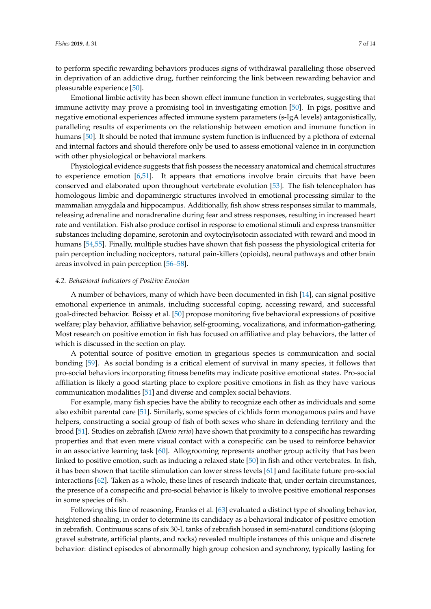to perform specific rewarding behaviors produces signs of withdrawal paralleling those observed in deprivation of an addictive drug, further reinforcing the link between rewarding behavior and pleasurable experience [\[50\]](#page-12-16).

Emotional limbic activity has been shown effect immune function in vertebrates, suggesting that immune activity may prove a promising tool in investigating emotion [\[50\]](#page-12-16). In pigs, positive and negative emotional experiences affected immune system parameters (s-IgA levels) antagonistically, paralleling results of experiments on the relationship between emotion and immune function in humans [\[50\]](#page-12-16). It should be noted that immune system function is influenced by a plethora of external and internal factors and should therefore only be used to assess emotional valence in in conjunction with other physiological or behavioral markers.

Physiological evidence suggests that fish possess the necessary anatomical and chemical structures to experience emotion [\[6](#page-11-0)[,51\]](#page-12-17). It appears that emotions involve brain circuits that have been conserved and elaborated upon throughout vertebrate evolution [\[53\]](#page-12-19). The fish telencephalon has homologous limbic and dopaminergic structures involved in emotional processing similar to the mammalian amygdala and hippocampus. Additionally, fish show stress responses similar to mammals, releasing adrenaline and noradrenaline during fear and stress responses, resulting in increased heart rate and ventilation. Fish also produce cortisol in response to emotional stimuli and express transmitter substances including dopamine, serotonin and oxytocin/isotocin associated with reward and mood in humans [\[54,](#page-12-20)[55\]](#page-12-21). Finally, multiple studies have shown that fish possess the physiological criteria for pain perception including nociceptors, natural pain-killers (opioids), neural pathways and other brain areas involved in pain perception [\[56–](#page-12-22)[58\]](#page-12-23).

# *4.2. Behavioral Indicators of Positive Emotion*

A number of behaviors, many of which have been documented in fish [\[14\]](#page-11-8), can signal positive emotional experience in animals, including successful coping, accessing reward, and successful goal-directed behavior. Boissy et al. [\[50\]](#page-12-16) propose monitoring five behavioral expressions of positive welfare; play behavior, affiliative behavior, self-grooming, vocalizations, and information-gathering. Most research on positive emotion in fish has focused on affiliative and play behaviors, the latter of which is discussed in the section on play.

A potential source of positive emotion in gregarious species is communication and social bonding [\[59\]](#page-12-24). As social bonding is a critical element of survival in many species, it follows that pro-social behaviors incorporating fitness benefits may indicate positive emotional states. Pro-social affiliation is likely a good starting place to explore positive emotions in fish as they have various communication modalities [\[51\]](#page-12-17) and diverse and complex social behaviors.

For example, many fish species have the ability to recognize each other as individuals and some also exhibit parental care [\[51\]](#page-12-17). Similarly, some species of cichlids form monogamous pairs and have helpers, constructing a social group of fish of both sexes who share in defending territory and the brood [\[51\]](#page-12-17). Studies on zebrafish (*Danio rerio*) have shown that proximity to a conspecific has rewarding properties and that even mere visual contact with a conspecific can be used to reinforce behavior in an associative learning task [\[60\]](#page-12-25). Allogrooming represents another group activity that has been linked to positive emotion, such as inducing a relaxed state [\[50\]](#page-12-16) in fish and other vertebrates. In fish, it has been shown that tactile stimulation can lower stress levels [\[61\]](#page-13-0) and facilitate future pro-social interactions [\[62\]](#page-13-1). Taken as a whole, these lines of research indicate that, under certain circumstances, the presence of a conspecific and pro-social behavior is likely to involve positive emotional responses in some species of fish.

Following this line of reasoning, Franks et al. [\[63\]](#page-13-2) evaluated a distinct type of shoaling behavior, heightened shoaling, in order to determine its candidacy as a behavioral indicator of positive emotion in zebrafish. Continuous scans of six 30-L tanks of zebrafish housed in semi-natural conditions (sloping gravel substrate, artificial plants, and rocks) revealed multiple instances of this unique and discrete behavior: distinct episodes of abnormally high group cohesion and synchrony, typically lasting for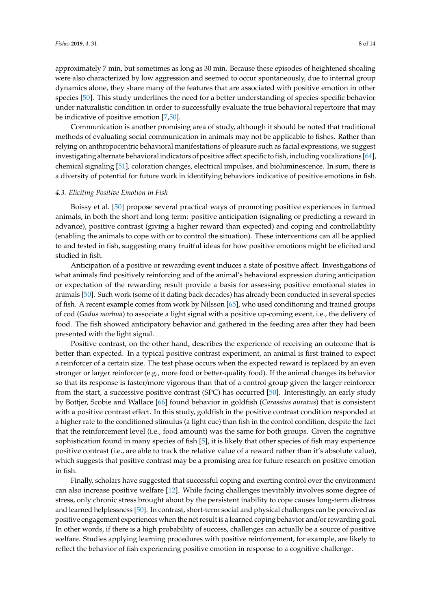approximately 7 min, but sometimes as long as 30 min. Because these episodes of heightened shoaling were also characterized by low aggression and seemed to occur spontaneously, due to internal group dynamics alone, they share many of the features that are associated with positive emotion in other species [\[50\]](#page-12-16). This study underlines the need for a better understanding of species-specific behavior under naturalistic condition in order to successfully evaluate the true behavioral repertoire that may be indicative of positive emotion [\[7](#page-11-1)[,50\]](#page-12-16).

Communication is another promising area of study, although it should be noted that traditional methods of evaluating social communication in animals may not be applicable to fishes. Rather than relying on anthropocentric behavioral manifestations of pleasure such as facial expressions, we suggest investigating alternate behavioral indicators of positive affect specific to fish, including vocalizations [\[64\]](#page-13-3), chemical signaling [\[51\]](#page-12-17), coloration changes, electrical impulses, and bioluminescence. In sum, there is a diversity of potential for future work in identifying behaviors indicative of positive emotions in fish.

# *4.3. Eliciting Positive Emotion in Fish*

Boissy et al. [\[50\]](#page-12-16) propose several practical ways of promoting positive experiences in farmed animals, in both the short and long term: positive anticipation (signaling or predicting a reward in advance), positive contrast (giving a higher reward than expected) and coping and controllability (enabling the animals to cope with or to control the situation). These interventions can all be applied to and tested in fish, suggesting many fruitful ideas for how positive emotions might be elicited and studied in fish.

Anticipation of a positive or rewarding event induces a state of positive affect. Investigations of what animals find positively reinforcing and of the animal's behavioral expression during anticipation or expectation of the rewarding result provide a basis for assessing positive emotional states in animals [\[50\]](#page-12-16). Such work (some of it dating back decades) has already been conducted in several species of fish. A recent example comes from work by Nilsson [\[65\]](#page-13-4), who used conditioning and trained groups of cod (*Gadus morhua*) to associate a light signal with a positive up-coming event, i.e., the delivery of food. The fish showed anticipatory behavior and gathered in the feeding area after they had been presented with the light signal.

Positive contrast, on the other hand, describes the experience of receiving an outcome that is better than expected. In a typical positive contrast experiment, an animal is first trained to expect a reinforcer of a certain size. The test phase occurs when the expected reward is replaced by an even stronger or larger reinforcer (e.g., more food or better-quality food). If the animal changes its behavior so that its response is faster/more vigorous than that of a control group given the larger reinforcer from the start, a successive positive contrast (SPC) has occurred [\[50\]](#page-12-16). Interestingly, an early study by Bottjer, Scobie and Wallace [\[66\]](#page-13-5) found behavior in goldfish (*Carassius auratus*) that is consistent with a positive contrast effect. In this study, goldfish in the positive contrast condition responded at a higher rate to the conditioned stimulus (a light cue) than fish in the control condition, despite the fact that the reinforcement level (i.e., food amount) was the same for both groups. Given the cognitive sophistication found in many species of fish [\[5\]](#page-10-3), it is likely that other species of fish may experience positive contrast (i.e., are able to track the relative value of a reward rather than it's absolute value), which suggests that positive contrast may be a promising area for future research on positive emotion in fish.

Finally, scholars have suggested that successful coping and exerting control over the environment can also increase positive welfare [\[12\]](#page-11-6). While facing challenges inevitably involves some degree of stress, only chronic stress brought about by the persistent inability to cope causes long-term distress and learned helplessness [\[50\]](#page-12-16). In contrast, short-term social and physical challenges can be perceived as positive engagement experiences when the net result is a learned coping behavior and/or rewarding goal. In other words, if there is a high probability of success, challenges can actually be a source of positive welfare. Studies applying learning procedures with positive reinforcement, for example, are likely to reflect the behavior of fish experiencing positive emotion in response to a cognitive challenge.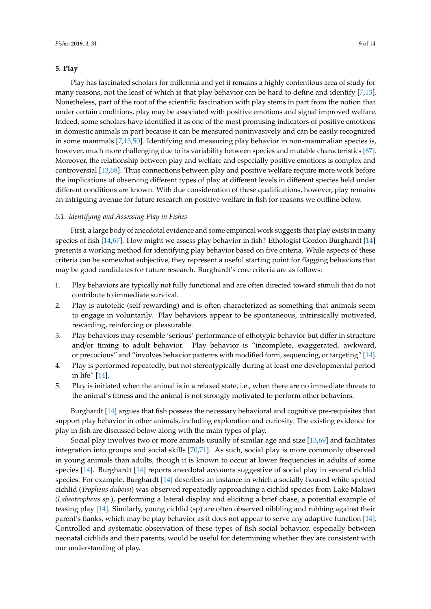# **5. Play**

Play has fascinated scholars for millennia and yet it remains a highly contentious area of study for many reasons, not the least of which is that play behavior can be hard to define and identify [\[7,](#page-11-1)[13\]](#page-11-7). Nonetheless, part of the root of the scientific fascination with play stems in part from the notion that under certain conditions, play may be associated with positive emotions and signal improved welfare. Indeed, some scholars have identified it as one of the most promising indicators of positive emotions in domestic animals in part because it can be measured noninvasively and can be easily recognized in some mammals [\[7](#page-11-1)[,13](#page-11-7)[,50\]](#page-12-16). Identifying and measuring play behavior in non-mammalian species is, however, much more challenging due to its variability between species and mutable characteristics [\[67\]](#page-13-6). Moreover, the relationship between play and welfare and especially positive emotions is complex and controversial [\[13](#page-11-7)[,68\]](#page-13-7). Thus connections between play and positive welfare require more work before the implications of observing different types of play at different levels in different species held under different conditions are known. With due consideration of these qualifications, however, play remains an intriguing avenue for future research on positive welfare in fish for reasons we outline below.

# *5.1. Identifying and Assessing Play in Fishes*

First, a large body of anecdotal evidence and some empirical work suggests that play exists in many species of fish [\[14,](#page-11-8)[67\]](#page-13-6). How might we assess play behavior in fish? Ethologist Gordon Burghardt [\[14\]](#page-11-8) presents a working method for identifying play behavior based on five criteria. While aspects of these criteria can be somewhat subjective, they represent a useful starting point for flagging behaviors that may be good candidates for future research. Burghardt's core criteria are as follows:

- 1. Play behaviors are typically not fully functional and are often directed toward stimuli that do not contribute to immediate survival.
- 2. Play is autotelic (self-rewarding) and is often characterized as something that animals seem to engage in voluntarily. Play behaviors appear to be spontaneous, intrinsically motivated, rewarding, reinforcing or pleasurable.
- 3. Play behaviors may resemble 'serious' performance of ethotypic behavior but differ in structure and/or timing to adult behavior. Play behavior is "incomplete, exaggerated, awkward, or precocious" and "involves behavior patterns with modified form, sequencing, or targeting" [\[14\]](#page-11-8).
- 4. Play is performed repeatedly, but not stereotypically during at least one developmental period in life" [\[14\]](#page-11-8).
- 5. Play is initiated when the animal is in a relaxed state, i.e., when there are no immediate threats to the animal's fitness and the animal is not strongly motivated to perform other behaviors.

Burghardt [\[14\]](#page-11-8) argues that fish possess the necessary behavioral and cognitive pre-requisites that support play behavior in other animals, including exploration and curiosity. The existing evidence for play in fish are discussed below along with the main types of play.

Social play involves two or more animals usually of similar age and size [\[13](#page-11-7)[,69\]](#page-13-8) and facilitates integration into groups and social skills [\[70](#page-13-9)[,71\]](#page-13-10). As such, social play is more commonly observed in young animals than adults, though it is known to occur at lower frequencies in adults of some species [\[14\]](#page-11-8). Burghardt [\[14\]](#page-11-8) reports anecdotal accounts suggestive of social play in several cichlid species. For example, Burghardt [\[14\]](#page-11-8) describes an instance in which a socially-housed white spotted cichlid (*Tropheus duboisi*) was observed repeatedly approaching a cichlid species from Lake Malawi (*Labeotropheus sp.*), performing a lateral display and eliciting a brief chase, a potential example of teasing play [\[14\]](#page-11-8). Similarly, young cichlid (sp) are often observed nibbling and rubbing against their parent's flanks, which may be play behavior as it does not appear to serve any adaptive function [\[14\]](#page-11-8). Controlled and systematic observation of these types of fish social behavior, especially between neonatal cichlids and their parents, would be useful for determining whether they are consistent with our understanding of play.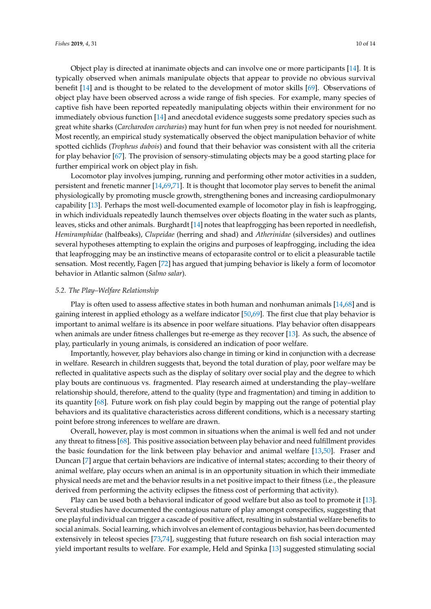Object play is directed at inanimate objects and can involve one or more participants [\[14\]](#page-11-8). It is typically observed when animals manipulate objects that appear to provide no obvious survival benefit [\[14\]](#page-11-8) and is thought to be related to the development of motor skills [\[69\]](#page-13-8). Observations of object play have been observed across a wide range of fish species. For example, many species of captive fish have been reported repeatedly manipulating objects within their environment for no immediately obvious function [\[14\]](#page-11-8) and anecdotal evidence suggests some predatory species such as great white sharks (*Carcharodon carcharias*) may hunt for fun when prey is not needed for nourishment. Most recently, an empirical study systematically observed the object manipulation behavior of white spotted cichlids (*Tropheus dubois*) and found that their behavior was consistent with all the criteria for play behavior [\[67\]](#page-13-6). The provision of sensory-stimulating objects may be a good starting place for further empirical work on object play in fish.

Locomotor play involves jumping, running and performing other motor activities in a sudden, persistent and frenetic manner [\[14](#page-11-8)[,69,](#page-13-8)[71\]](#page-13-10). It is thought that locomotor play serves to benefit the animal physiologically by promoting muscle growth, strengthening bones and increasing cardiopulmonary capability [\[13\]](#page-11-7). Perhaps the most well-documented example of locomotor play in fish is leapfrogging, in which individuals repeatedly launch themselves over objects floating in the water such as plants, leaves, sticks and other animals. Burghardt [\[14\]](#page-11-8) notes that leapfrogging has been reported in needlefish, *Hemiramphidae* (halfbeaks), *Clupeidae* (herring and shad) and *Atherinidae* (silversides) and outlines several hypotheses attempting to explain the origins and purposes of leapfrogging, including the idea that leapfrogging may be an instinctive means of ectoparasite control or to elicit a pleasurable tactile sensation. Most recently, Fagen [\[72\]](#page-13-11) has argued that jumping behavior is likely a form of locomotor behavior in Atlantic salmon (*Salmo salar*).

#### *5.2. The Play–Welfare Relationship*

Play is often used to assess affective states in both human and nonhuman animals [\[14](#page-11-8)[,68\]](#page-13-7) and is gaining interest in applied ethology as a welfare indicator [\[50,](#page-12-16)[69\]](#page-13-8). The first clue that play behavior is important to animal welfare is its absence in poor welfare situations. Play behavior often disappears when animals are under fitness challenges but re-emerge as they recover [\[13\]](#page-11-7). As such, the absence of play, particularly in young animals, is considered an indication of poor welfare.

Importantly, however, play behaviors also change in timing or kind in conjunction with a decrease in welfare. Research in children suggests that, beyond the total duration of play, poor welfare may be reflected in qualitative aspects such as the display of solitary over social play and the degree to which play bouts are continuous vs. fragmented. Play research aimed at understanding the play–welfare relationship should, therefore, attend to the quality (type and fragmentation) and timing in addition to its quantity [\[68\]](#page-13-7). Future work on fish play could begin by mapping out the range of potential play behaviors and its qualitative characteristics across different conditions, which is a necessary starting point before strong inferences to welfare are drawn.

Overall, however, play is most common in situations when the animal is well fed and not under any threat to fitness [\[68\]](#page-13-7). This positive association between play behavior and need fulfillment provides the basic foundation for the link between play behavior and animal welfare [\[13](#page-11-7)[,50\]](#page-12-16). Fraser and Duncan [\[7\]](#page-11-1) argue that certain behaviors are indicative of internal states; according to their theory of animal welfare, play occurs when an animal is in an opportunity situation in which their immediate physical needs are met and the behavior results in a net positive impact to their fitness (i.e., the pleasure derived from performing the activity eclipses the fitness cost of performing that activity).

Play can be used both a behavioral indicator of good welfare but also as tool to promote it [\[13\]](#page-11-7). Several studies have documented the contagious nature of play amongst conspecifics, suggesting that one playful individual can trigger a cascade of positive affect, resulting in substantial welfare benefits to social animals. Social learning, which involves an element of contagious behavior, has been documented extensively in teleost species [\[73,](#page-13-12)[74\]](#page-13-13), suggesting that future research on fish social interaction may yield important results to welfare. For example, Held and Spinka [\[13\]](#page-11-7) suggested stimulating social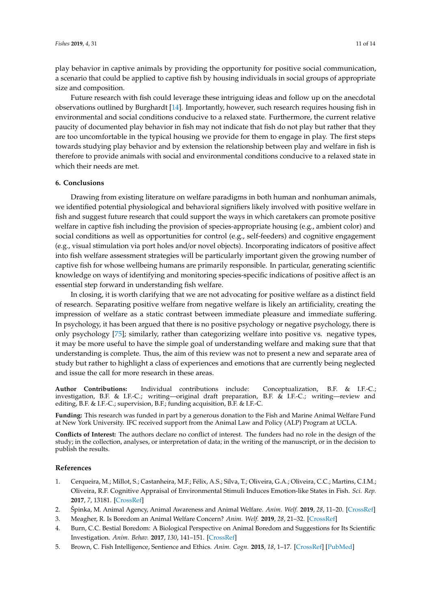play behavior in captive animals by providing the opportunity for positive social communication, a scenario that could be applied to captive fish by housing individuals in social groups of appropriate size and composition.

Future research with fish could leverage these intriguing ideas and follow up on the anecdotal observations outlined by Burghardt [\[14\]](#page-11-8). Importantly, however, such research requires housing fish in environmental and social conditions conducive to a relaxed state. Furthermore, the current relative paucity of documented play behavior in fish may not indicate that fish do not play but rather that they are too uncomfortable in the typical housing we provide for them to engage in play. The first steps towards studying play behavior and by extension the relationship between play and welfare in fish is therefore to provide animals with social and environmental conditions conducive to a relaxed state in which their needs are met.

# **6. Conclusions**

Drawing from existing literature on welfare paradigms in both human and nonhuman animals, we identified potential physiological and behavioral signifiers likely involved with positive welfare in fish and suggest future research that could support the ways in which caretakers can promote positive welfare in captive fish including the provision of species-appropriate housing (e.g., ambient color) and social conditions as well as opportunities for control (e.g., self-feeders) and cognitive engagement (e.g., visual stimulation via port holes and/or novel objects). Incorporating indicators of positive affect into fish welfare assessment strategies will be particularly important given the growing number of captive fish for whose wellbeing humans are primarily responsible. In particular, generating scientific knowledge on ways of identifying and monitoring species-specific indications of positive affect is an essential step forward in understanding fish welfare.

In closing, it is worth clarifying that we are not advocating for positive welfare as a distinct field of research. Separating positive welfare from negative welfare is likely an artificiality, creating the impression of welfare as a static contrast between immediate pleasure and immediate suffering. In psychology, it has been argued that there is no positive psychology or negative psychology, there is only psychology [\[75\]](#page-13-14); similarly, rather than categorizing welfare into positive vs. negative types, it may be more useful to have the simple goal of understanding welfare and making sure that that understanding is complete. Thus, the aim of this review was not to present a new and separate area of study but rather to highlight a class of experiences and emotions that are currently being neglected and issue the call for more research in these areas.

**Author Contributions:** Individual contributions include: Conceptualization, B.F. & I.F.-C.; investigation, B.F. & I.F.-C.; writing—original draft preparation, B.F. & I.F.-C.; writing—review and editing, B.F. & I.F.-C.; supervision, B.F.; funding acquisition, B.F. & I.F.-C.

**Funding:** This research was funded in part by a generous donation to the Fish and Marine Animal Welfare Fund at New York University. IFC received support from the Animal Law and Policy (ALP) Program at UCLA.

**Conflicts of Interest:** The authors declare no conflict of interest. The funders had no role in the design of the study; in the collection, analyses, or interpretation of data; in the writing of the manuscript, or in the decision to publish the results.

# **References**

- <span id="page-10-0"></span>1. Cerqueira, M.; Millot, S.; Castanheira, M.F.; Félix, A.S.; Silva, T.; Oliveira, G.A.; Oliveira, C.C.; Martins, C.I.M.; Oliveira, R.F. Cognitive Appraisal of Environmental Stimuli Induces Emotion-like States in Fish. *Sci. Rep.* **2017**, *7*, 13181. [\[CrossRef\]](http://dx.doi.org/10.1038/s41598-017-13173-x)
- <span id="page-10-1"></span>2. Špinka, M. Animal Agency, Animal Awareness and Animal Welfare. *Anim. Welf.* **2019**, *28*, 11–20. [\[CrossRef\]](http://dx.doi.org/10.7120/09627286.28.1.011)
- <span id="page-10-4"></span>3. Meagher, R. Is Boredom an Animal Welfare Concern? *Anim. Welf.* **2019**, *28*, 21–32. [\[CrossRef\]](http://dx.doi.org/10.7120/09627286.28.1.021)
- <span id="page-10-2"></span>4. Burn, C.C. Bestial Boredom: A Biological Perspective on Animal Boredom and Suggestions for Its Scientific Investigation. *Anim. Behav.* **2017**, *130*, 141–151. [\[CrossRef\]](http://dx.doi.org/10.1016/j.anbehav.2017.06.006)
- <span id="page-10-3"></span>5. Brown, C. Fish Intelligence, Sentience and Ethics. *Anim. Cogn.* **2015**, *18*, 1–17. [\[CrossRef\]](http://dx.doi.org/10.1007/s10071-014-0761-0) [\[PubMed\]](http://www.ncbi.nlm.nih.gov/pubmed/24942105)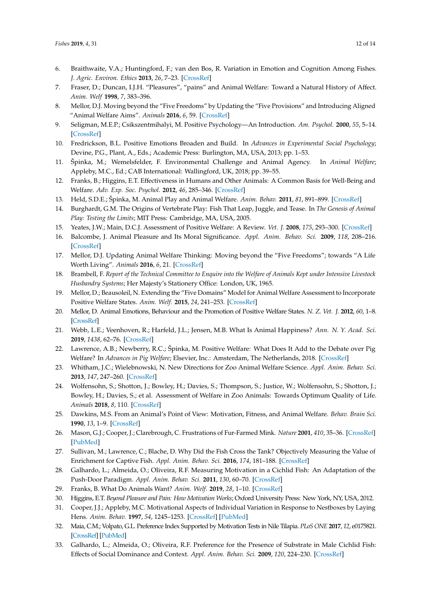- <span id="page-11-0"></span>6. Braithwaite, V.A.; Huntingford, F.; van den Bos, R. Variation in Emotion and Cognition Among Fishes. *J. Agric. Environ. Ethics* **2013**, *26*, 7–23. [\[CrossRef\]](http://dx.doi.org/10.1007/s10806-011-9355-x)
- <span id="page-11-1"></span>7. Fraser, D.; Duncan, I.J.H. "Pleasures", "pains" and Animal Welfare: Toward a Natural History of Affect. *Anim. Welf* **1998**, *7*, 383–396.
- <span id="page-11-2"></span>8. Mellor, D.J. Moving beyond the "Five Freedoms" by Updating the "Five Provisions" and Introducing Aligned "Animal Welfare Aims". *Animals* **2016**, *6*, 59. [\[CrossRef\]](http://dx.doi.org/10.3390/ani6100059)
- <span id="page-11-3"></span>9. Seligman, M.E.P.; Csikszentmihalyi, M. Positive Psychology—An Introduction. *Am. Psychol.* **2000**, *55*, 5–14. [\[CrossRef\]](http://dx.doi.org/10.1037/0003-066X.55.1.5)
- <span id="page-11-4"></span>10. Fredrickson, B.L. Positive Emotions Broaden and Build. In *Advances in Experimental Social Psychology*; Devine, P.G., Plant, A., Eds.; Academic Press: Burlington, MA, USA, 2013; pp. 1–53.
- <span id="page-11-5"></span>11. Špinka, M.; Wemelsfelder, F. Environmental Challenge and Animal Agency. In *Animal Welfare*; Appleby, M.C., Ed.; CAB International: Wallingford, UK, 2018; pp. 39–55.
- <span id="page-11-6"></span>12. Franks, B.; Higgins, E.T. Effectiveness in Humans and Other Animals: A Common Basis for Well-Being and Welfare. *Adv. Exp. Soc. Psychol.* **2012**, *46*, 285–346. [\[CrossRef\]](http://dx.doi.org/10.1016/B978-0-12-394281-4.00006-4)
- <span id="page-11-7"></span>13. Held, S.D.E.; Špinka, M. Animal Play and Animal Welfare. *Anim. Behav.* **2011**, *81*, 891–899. [\[CrossRef\]](http://dx.doi.org/10.1016/j.anbehav.2011.01.007)
- <span id="page-11-8"></span>14. Burghardt, G.M. The Origins of Vertebrate Play: Fish That Leap, Juggle, and Tease. In *The Genesis of Animal Play: Testing the Limits*; MIT Press: Cambridge, MA, USA, 2005.
- <span id="page-11-9"></span>15. Yeates, J.W.; Main, D.C.J. Assessment of Positive Welfare: A Review. *Vet. J.* **2008**, *175*, 293–300. [\[CrossRef\]](http://dx.doi.org/10.1016/j.tvjl.2007.05.009)
- <span id="page-11-10"></span>16. Balcombe, J. Animal Pleasure and Its Moral Significance. *Appl. Anim. Behav. Sci.* **2009**, *118*, 208–216. [\[CrossRef\]](http://dx.doi.org/10.1016/j.applanim.2009.02.012)
- <span id="page-11-11"></span>17. Mellor, D.J. Updating Animal Welfare Thinking: Moving beyond the "Five Freedoms"; towards "A Life Worth Living". *Animals* **2016**, *6*, 21. [\[CrossRef\]](http://dx.doi.org/10.3390/ani6030021)
- <span id="page-11-12"></span>18. Brambell, F. *Report of the Technical Committee to Enquire into the Welfare of Animals Kept under Intensive Livestock Husbandry Systems*; Her Majesty's Stationery Office: London, UK, 1965.
- <span id="page-11-13"></span>19. Mellor, D.; Beausoleil, N. Extending the "Five Domains" Model for Animal Welfare Assessment to Incorporate Positive Welfare States. *Anim. Welf.* **2015**, *24*, 241–253. [\[CrossRef\]](http://dx.doi.org/10.7120/09627286.24.3.241)
- <span id="page-11-14"></span>20. Mellor, D. Animal Emotions, Behaviour and the Promotion of Positive Welfare States. *N. Z. Vet. J.* **2012**, *60*, 1–8. [\[CrossRef\]](http://dx.doi.org/10.1080/00480169.2011.619047)
- <span id="page-11-15"></span>21. Webb, L.E.; Veenhoven, R.; Harfeld, J.L.; Jensen, M.B. What Is Animal Happiness? *Ann. N. Y. Acad. Sci.* **2019**, *1438*, 62–76. [\[CrossRef\]](http://dx.doi.org/10.1111/nyas.13983)
- <span id="page-11-16"></span>22. Lawrence, A.B.; Newberry, R.C.; Špinka, M. Positive Welfare: What Does It Add to the Debate over Pig Welfare? In *Advances in Pig Welfare*; Elsevier, Inc.: Amsterdam, The Netherlands, 2018. [\[CrossRef\]](http://dx.doi.org/10.1016/B978-0-08-101012-9.00014-9)
- <span id="page-11-17"></span>23. Whitham, J.C.; Wielebnowski, N. New Directions for Zoo Animal Welfare Science. *Appl. Anim. Behav. Sci.* **2013**, *147*, 247–260. [\[CrossRef\]](http://dx.doi.org/10.1016/j.applanim.2013.02.004)
- <span id="page-11-18"></span>24. Wolfensohn, S.; Shotton, J.; Bowley, H.; Davies, S.; Thompson, S.; Justice, W.; Wolfensohn, S.; Shotton, J.; Bowley, H.; Davies, S.; et al. Assessment of Welfare in Zoo Animals: Towards Optimum Quality of Life. *Animals* **2018**, *8*, 110. [\[CrossRef\]](http://dx.doi.org/10.3390/ani8070110)
- <span id="page-11-19"></span>25. Dawkins, M.S. From an Animal's Point of View: Motivation, Fitness, and Animal Welfare. *Behav. Brain Sci.* **1990**, *13*, 1–9. [\[CrossRef\]](http://dx.doi.org/10.1017/S0140525X00077104)
- <span id="page-11-20"></span>26. Mason, G.J.; Cooper, J.; Clarebrough, C. Frustrations of Fur-Farmed Mink. *Nature* **2001**, *410*, 35–36. [\[CrossRef\]](http://dx.doi.org/10.1038/35065157) [\[PubMed\]](http://www.ncbi.nlm.nih.gov/pubmed/11242031)
- <span id="page-11-21"></span>27. Sullivan, M.; Lawrence, C.; Blache, D. Why Did the Fish Cross the Tank? Objectively Measuring the Value of Enrichment for Captive Fish. *Appl. Anim. Behav. Sci.* **2016**, *174*, 181–188. [\[CrossRef\]](http://dx.doi.org/10.1016/j.applanim.2015.10.011)
- <span id="page-11-22"></span>28. Galhardo, L.; Almeida, O.; Oliveira, R.F. Measuring Motivation in a Cichlid Fish: An Adaptation of the Push-Door Paradigm. *Appl. Anim. Behav. Sci.* **2011**, *130*, 60–70. [\[CrossRef\]](http://dx.doi.org/10.1016/j.applanim.2010.12.008)
- <span id="page-11-23"></span>29. Franks, B. What Do Animals Want? *Anim. Welf.* **2019**, *28*, 1–10. [\[CrossRef\]](http://dx.doi.org/10.7120/09627286.28.1.001)
- <span id="page-11-24"></span>30. Higgins, E.T. *Beyond Pleasure and Pain: How Motivation Works*; Oxford University Press: New York, NY, USA, 2012.
- <span id="page-11-25"></span>31. Cooper, J.J.; Appleby, M.C. Motivational Aspects of Individual Variation in Response to Nestboxes by Laying Hens. *Anim. Behav.* **1997**, *54*, 1245–1253. [\[CrossRef\]](http://dx.doi.org/10.1006/anbe.1997.0521) [\[PubMed\]](http://www.ncbi.nlm.nih.gov/pubmed/9398377)
- <span id="page-11-26"></span>32. Maia, C.M.; Volpato, G.L. Preference Index Supported by Motivation Tests in Nile Tilapia. *PLoS ONE* **2017**, *12*, e0175821. [\[CrossRef\]](http://dx.doi.org/10.1371/journal.pone.0175821) [\[PubMed\]](http://www.ncbi.nlm.nih.gov/pubmed/28426689)
- <span id="page-11-27"></span>33. Galhardo, L.; Almeida, O.; Oliveira, R.F. Preference for the Presence of Substrate in Male Cichlid Fish: Effects of Social Dominance and Context. *Appl. Anim. Behav. Sci.* **2009**, *120*, 224–230. [\[CrossRef\]](http://dx.doi.org/10.1016/j.applanim.2009.07.001)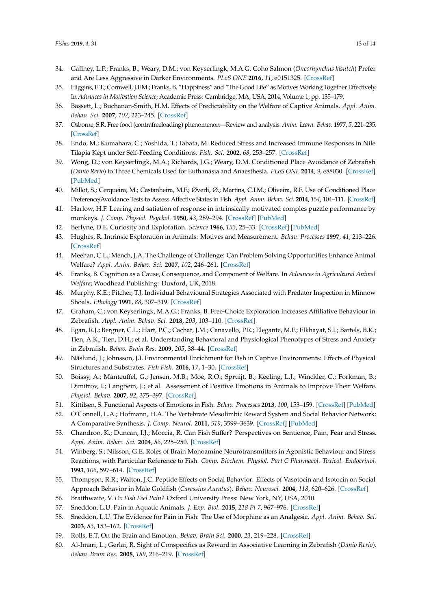- <span id="page-12-0"></span>34. Gaffney, L.P.; Franks, B.; Weary, D.M.; von Keyserlingk, M.A.G. Coho Salmon (*Oncorhynchus kisutch*) Prefer and Are Less Aggressive in Darker Environments. *PLoS ONE* **2016**, *11*, e0151325. [\[CrossRef\]](http://dx.doi.org/10.1371/journal.pone.0151325)
- <span id="page-12-1"></span>35. Higgins, E.T.; Cornwell, J.F.M.; Franks, B. "Happiness" and "The Good Life" as Motives Working Together Effectively. In *Advances in Motivation Science*; Academic Press: Cambridge, MA, USA, 2014; Volume 1, pp. 135–179.
- <span id="page-12-2"></span>36. Bassett, L.; Buchanan-Smith, H.M. Effects of Predictability on the Welfare of Captive Animals. *Appl. Anim. Behav. Sci.* **2007**, *102*, 223–245. [\[CrossRef\]](http://dx.doi.org/10.1016/j.applanim.2006.05.029)
- <span id="page-12-3"></span>37. Osborne, S.R. Free food (contrafreeloading) phenomenon—Review and analysis. *Anim. Learn. Behav.* **1977**, *5*, 221–235. [\[CrossRef\]](http://dx.doi.org/10.3758/BF03209232)
- <span id="page-12-4"></span>38. Endo, M.; Kumahara, C.; Yoshida, T.; Tabata, M. Reduced Stress and Increased Immune Responses in Nile Tilapia Kept under Self-Feeding Conditions. *Fish. Sci.* **2002**, *68*, 253–257. [\[CrossRef\]](http://dx.doi.org/10.1046/j.1444-2906.2002.00419.x)
- <span id="page-12-5"></span>39. Wong, D.; von Keyserlingk, M.A.; Richards, J.G.; Weary, D.M. Conditioned Place Avoidance of Zebrafish (*Danio Rerio*) to Three Chemicals Used for Euthanasia and Anaesthesia. *PLoS ONE* **2014**, *9*, e88030. [\[CrossRef\]](http://dx.doi.org/10.1371/journal.pone.0088030) [\[PubMed\]](http://www.ncbi.nlm.nih.gov/pubmed/24505365)
- <span id="page-12-6"></span>40. Millot, S.; Cerqueira, M.; Castanheira, M.F.; Øverli, Ø.; Martins, C.I.M.; Oliveira, R.F. Use of Conditioned Place Preference/Avoidance Tests to Assess Affective States in Fish. *Appl. Anim. Behav. Sci.* **2014**, *154*, 104–111. [\[CrossRef\]](http://dx.doi.org/10.1016/j.applanim.2014.02.004)
- <span id="page-12-7"></span>41. Harlow, H.F. Learing and satiation of response in intrinsically motivated comples puzzle performance by monkeys. *J. Comp. Physiol. Psychol.* **1950**, *43*, 289–294. [\[CrossRef\]](http://dx.doi.org/10.1037/h0058114) [\[PubMed\]](http://www.ncbi.nlm.nih.gov/pubmed/15436888)
- <span id="page-12-8"></span>42. Berlyne, D.E. Curiosity and Exploration. *Science* **1966**, *153*, 25–33. [\[CrossRef\]](http://dx.doi.org/10.1126/science.153.3731.25) [\[PubMed\]](http://www.ncbi.nlm.nih.gov/pubmed/5328120)
- <span id="page-12-9"></span>43. Hughes, R. Intrinsic Exploration in Animals: Motives and Measurement. *Behav. Processes* **1997**, *41*, 213–226. [\[CrossRef\]](http://dx.doi.org/10.1016/S0376-6357(97)00055-7)
- <span id="page-12-10"></span>44. Meehan, C.L.; Mench, J.A. The Challenge of Challenge: Can Problem Solving Opportunities Enhance Animal Welfare? *Appl. Anim. Behav. Sci.* **2007**, *102*, 246–261. [\[CrossRef\]](http://dx.doi.org/10.1016/j.applanim.2006.05.031)
- <span id="page-12-11"></span>45. Franks, B. Cognition as a Cause, Consequence, and Component of Welfare. In *Advances in Agricultural Animal Welfare*; Woodhead Publishing: Duxford, UK, 2018.
- <span id="page-12-12"></span>46. Murphy, K.E.; Pitcher, T.J. Individual Behavioural Strategies Associated with Predator Inspection in Minnow Shoals. *Ethology* **1991**, *88*, 307–319. [\[CrossRef\]](http://dx.doi.org/10.1111/j.1439-0310.1991.tb00285.x)
- <span id="page-12-13"></span>47. Graham, C.; von Keyserlingk, M.A.G.; Franks, B. Free-Choice Exploration Increases Affiliative Behaviour in Zebrafish. *Appl. Anim. Behav. Sci.* **2018**, *203*, 103–110. [\[CrossRef\]](http://dx.doi.org/10.1016/j.applanim.2018.02.005)
- <span id="page-12-14"></span>48. Egan, R.J.; Bergner, C.L.; Hart, P.C.; Cachat, J.M.; Canavello, P.R.; Elegante, M.F.; Elkhayat, S.I.; Bartels, B.K.; Tien, A.K.; Tien, D.H.; et al. Understanding Behavioral and Physiological Phenotypes of Stress and Anxiety in Zebrafish. *Behav. Brain Res.* **2009**, *205*, 38–44. [\[CrossRef\]](http://dx.doi.org/10.1016/j.bbr.2009.06.022)
- <span id="page-12-15"></span>49. Näslund, J.; Johnsson, J.I. Environmental Enrichment for Fish in Captive Environments: Effects of Physical Structures and Substrates. *Fish Fish.* **2016**, *17*, 1–30. [\[CrossRef\]](http://dx.doi.org/10.1111/faf.12088)
- <span id="page-12-16"></span>50. Boissy, A.; Manteuffel, G.; Jensen, M.B.; Moe, R.O.; Spruijt, B.; Keeling, L.J.; Winckler, C.; Forkman, B.; Dimitrov, I.; Langbein, J.; et al. Assessment of Positive Emotions in Animals to Improve Their Welfare. *Physiol. Behav.* **2007**, *92*, 375–397. [\[CrossRef\]](http://dx.doi.org/10.1016/j.physbeh.2007.02.003)
- <span id="page-12-17"></span>51. Kittilsen, S. Functional Aspects of Emotions in Fish. *Behav. Processes* **2013**, *100*, 153–159. [\[CrossRef\]](http://dx.doi.org/10.1016/j.beproc.2013.09.002) [\[PubMed\]](http://www.ncbi.nlm.nih.gov/pubmed/24056239)
- <span id="page-12-18"></span>52. O'Connell, L.A.; Hofmann, H.A. The Vertebrate Mesolimbic Reward System and Social Behavior Network: A Comparative Synthesis. *J. Comp. Neurol.* **2011**, *519*, 3599–3639. [\[CrossRef\]](http://dx.doi.org/10.1002/cne.22735) [\[PubMed\]](http://www.ncbi.nlm.nih.gov/pubmed/21800319)
- <span id="page-12-19"></span>53. Chandroo, K.; Duncan, I.J.; Moccia, R. Can Fish Suffer? Perspectives on Sentience, Pain, Fear and Stress. *Appl. Anim. Behav. Sci.* **2004**, *86*, 225–250. [\[CrossRef\]](http://dx.doi.org/10.1016/j.applanim.2004.02.004)
- <span id="page-12-20"></span>54. Winberg, S.; Nilsson, G.E. Roles of Brain Monoamine Neurotransmitters in Agonistic Behaviour and Stress Reactions, with Particular Reference to Fish. *Comp. Biochem. Physiol. Part C Pharmacol. Toxicol. Endocrinol.* **1993**, *106*, 597–614. [\[CrossRef\]](http://dx.doi.org/10.1016/0742-8413(93)90216-8)
- <span id="page-12-21"></span>55. Thompson, R.R.; Walton, J.C. Peptide Effects on Social Behavior: Effects of Vasotocin and Isotocin on Social Approach Behavior in Male Goldfish (*Carassius Auratus*). *Behav. Neurosci.* **2004**, *118*, 620–626. [\[CrossRef\]](http://dx.doi.org/10.1037/0735-7044.118.3.620)
- <span id="page-12-22"></span>56. Braithwaite, V. *Do Fish Feel Pain?* Oxford University Press: New York, NY, USA, 2010.
- 57. Sneddon, L.U. Pain in Aquatic Animals. *J. Exp. Biol.* **2015**, *218 Pt 7*, 967–976. [\[CrossRef\]](http://dx.doi.org/10.1242/jeb.088823)
- <span id="page-12-23"></span>58. Sneddon, L.U. The Evidence for Pain in Fish: The Use of Morphine as an Analgesic. *Appl. Anim. Behav. Sci.* **2003**, *83*, 153–162. [\[CrossRef\]](http://dx.doi.org/10.1016/S0168-1591(03)00113-8)
- <span id="page-12-24"></span>59. Rolls, E.T. On the Brain and Emotion. *Behav. Brain Sci.* **2000**, *23*, 219–228. [\[CrossRef\]](http://dx.doi.org/10.1017/S0140525X00512424)
- <span id="page-12-25"></span>60. Al-Imari, L.; Gerlai, R. Sight of Conspecifics as Reward in Associative Learning in Zebrafish (*Danio Rerio*). *Behav. Brain Res.* **2008**, *189*, 216–219. [\[CrossRef\]](http://dx.doi.org/10.1016/j.bbr.2007.12.007)